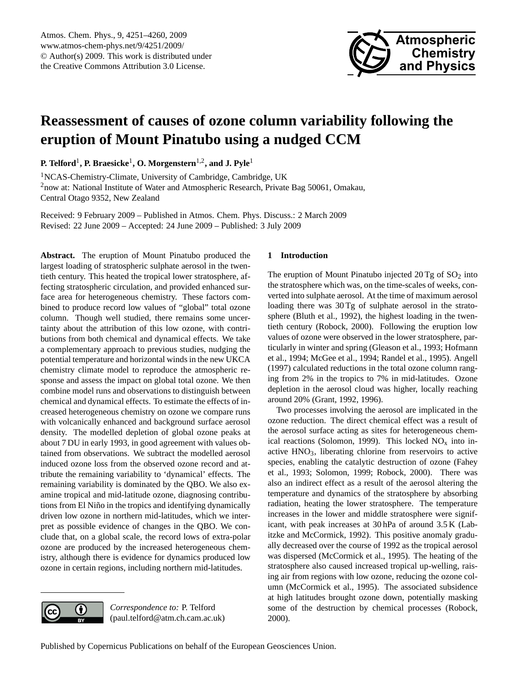

## <span id="page-0-0"></span>**Reassessment of causes of ozone column variability following the eruption of Mount Pinatubo using a nudged CCM**

**P. Telford**<sup>1</sup> **, P. Braesicke**<sup>1</sup> **, O. Morgenstern**1,2**, and J. Pyle**<sup>1</sup>

<sup>1</sup>NCAS-Chemistry-Climate, University of Cambridge, Cambridge, UK <sup>2</sup>now at: National Institute of Water and Atmospheric Research, Private Bag 50061, Omakau, Central Otago 9352, New Zealand

Received: 9 February 2009 – Published in Atmos. Chem. Phys. Discuss.: 2 March 2009 Revised: 22 June 2009 – Accepted: 24 June 2009 – Published: 3 July 2009

**Abstract.** The eruption of Mount Pinatubo produced the largest loading of stratospheric sulphate aerosol in the twentieth century. This heated the tropical lower stratosphere, affecting stratospheric circulation, and provided enhanced surface area for heterogeneous chemistry. These factors combined to produce record low values of "global" total ozone column. Though well studied, there remains some uncertainty about the attribution of this low ozone, with contributions from both chemical and dynamical effects. We take a complementary approach to previous studies, nudging the potential temperature and horizontal winds in the new UKCA chemistry climate model to reproduce the atmospheric response and assess the impact on global total ozone. We then combine model runs and observations to distinguish between chemical and dynamical effects. To estimate the effects of increased heterogeneous chemistry on ozone we compare runs with volcanically enhanced and background surface aerosol density. The modelled depletion of global ozone peaks at about 7 DU in early 1993, in good agreement with values obtained from observations. We subtract the modelled aerosol induced ozone loss from the observed ozone record and attribute the remaining variability to 'dynamical' effects. The remaining variability is dominated by the QBO. We also examine tropical and mid-latitude ozone, diagnosing contributions from El Niño in the tropics and identifying dynamically driven low ozone in northern mid-latitudes, which we interpret as possible evidence of changes in the QBO. We conclude that, on a global scale, the record lows of extra-polar ozone are produced by the increased heterogeneous chemistry, although there is evidence for dynamics produced low ozone in certain regions, including northern mid-latitudes.

# G

*Correspondence to:* P. Telford (paul.telford@atm.ch.cam.ac.uk)

#### **1 Introduction**

The eruption of Mount Pinatubo injected  $20 \text{ Tg}$  of  $SO_2$  into the stratosphere which was, on the time-scales of weeks, converted into sulphate aerosol. At the time of maximum aerosol loading there was  $30 \text{ Tg}$  of sulphate aerosol in the stratosphere [\(Bluth et al.,](#page-7-0) [1992\)](#page-7-0), the highest loading in the twentieth century [\(Robock,](#page-8-0) [2000\)](#page-8-0). Following the eruption low values of ozone were observed in the lower stratosphere, particularly in winter and spring [\(Gleason et al.,](#page-7-1) [1993;](#page-7-1) [Hofmann](#page-8-1) [et al.,](#page-8-1) [1994;](#page-8-1) [McGee et al.,](#page-8-2) [1994;](#page-8-2) [Randel et al.,](#page-8-3) [1995\)](#page-8-3). [Angell](#page-7-2) [\(1997\)](#page-7-2) calculated reductions in the total ozone column ranging from 2% in the tropics to 7% in mid-latitudes. Ozone depletion in the aerosol cloud was higher, locally reaching around 20% [\(Grant,](#page-7-3) [1992,](#page-7-3) [1996\)](#page-7-4).

Two processes involving the aerosol are implicated in the ozone reduction. The direct chemical effect was a result of the aerosol surface acting as sites for heterogeneous chem-ical reactions [\(Solomon,](#page-8-4) [1999\)](#page-8-4). This locked  $NO<sub>x</sub>$  into inactive  $HNO<sub>3</sub>$ , liberating chlorine from reservoirs to active species, enabling the catalytic destruction of ozone [\(Fahey](#page-7-5) [et al.,](#page-7-5) [1993;](#page-7-5) [Solomon,](#page-8-4) [1999;](#page-8-4) [Robock,](#page-8-0) [2000\)](#page-8-0). There was also an indirect effect as a result of the aerosol altering the temperature and dynamics of the stratosphere by absorbing radiation, heating the lower stratosphere. The temperature increases in the lower and middle stratosphere were significant, with peak increases at 30 hPa of around 3.5 K [\(Lab](#page-8-5)[itzke and McCormick,](#page-8-5) [1992\)](#page-8-5). This positive anomaly gradually decreased over the course of 1992 as the tropical aerosol was dispersed [\(McCormick et al.,](#page-8-6) [1995\)](#page-8-6). The heating of the stratosphere also caused increased tropical up-welling, raising air from regions with low ozone, reducing the ozone column [\(McCormick et al.,](#page-8-6) [1995\)](#page-8-6). The associated subsidence at high latitudes brought ozone down, potentially masking some of the destruction by chemical processes [\(Robock,](#page-8-0) [2000\)](#page-8-0).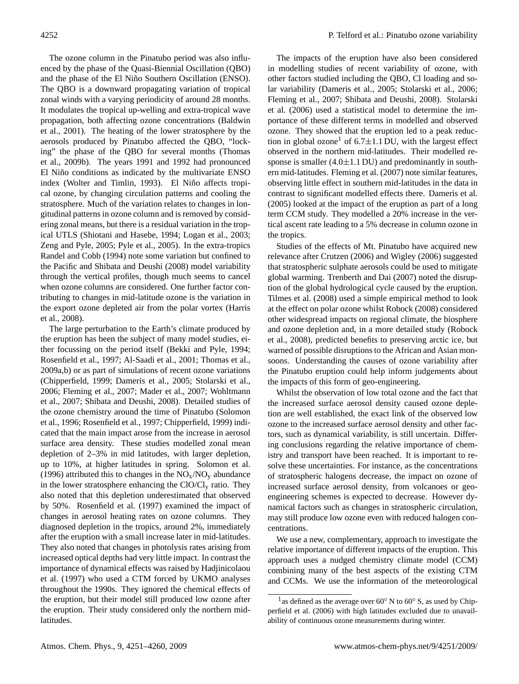The ozone column in the Pinatubo period was also influenced by the phase of the Quasi-Biennial Oscillation (QBO) and the phase of the El Niño Southern Oscillation (ENSO). The QBO is a downward propagating variation of tropical zonal winds with a varying periodicity of around 28 months. It modulates the tropical up-welling and extra-tropical wave propagation, both affecting ozone concentrations [\(Baldwin](#page-7-6) [et al.,](#page-7-6) [2001\)](#page-7-6). The heating of the lower stratosphere by the aerosols produced by Pinatubo affected the QBO, "locking" the phase of the QBO for several months [\(Thomas](#page-8-7) [et al.,](#page-8-7) [2009b\)](#page-8-7). The years 1991 and 1992 had pronounced El Niño conditions as indicated by the multivariate ENSO index [\(Wolter and Timlin,](#page-9-0) [1993\)](#page-9-0). El Niño affects tropical ozone, by changing circulation patterns and cooling the stratosphere. Much of the variation relates to changes in longitudinal patterns in ozone column and is removed by considering zonal means, but there is a residual variation in the tropical UTLS [\(Shiotani and Hasebe,](#page-8-8) [1994;](#page-8-8) [Logan et al.,](#page-8-9) [2003;](#page-8-9) [Zeng and Pyle,](#page-9-1) [2005;](#page-9-1) [Pyle et al.,](#page-8-10) [2005\)](#page-8-10). In the extra-tropics [Randel and Cobb](#page-8-11) [\(1994\)](#page-8-11) note some variation but confined to the Pacific and [Shibata and Deushi](#page-8-12) [\(2008\)](#page-8-12) model variability through the vertical profiles, though much seems to cancel when ozone columns are considered. One further factor contributing to changes in mid-latitude ozone is the variation in the export ozone depleted air from the polar vortex [\(Harris](#page-8-13) [et al.,](#page-8-13) [2008\)](#page-8-13).

The large perturbation to the Earth's climate produced by the eruption has been the subject of many model studies, either focussing on the period itself [\(Bekki and Pyle,](#page-7-7) [1994;](#page-7-7) [Rosenfield et al.,](#page-8-14) [1997;](#page-8-14) [Al-Saadi et al.,](#page-7-8) [2001;](#page-7-8) [Thomas et al.,](#page-8-15) [2009a](#page-8-15)[,b\)](#page-8-7) or as part of simulations of recent ozone variations [\(Chipperfield,](#page-7-9) [1999;](#page-7-9) [Dameris et al.,](#page-7-10) [2005;](#page-7-10) [Stolarski et al.,](#page-8-16) [2006;](#page-8-16) [Fleming et al.,](#page-7-11) [2007;](#page-7-11) [Mader et al.,](#page-8-17) [2007;](#page-8-17) [Wohltmann](#page-9-2) [et al.,](#page-9-2) [2007;](#page-9-2) [Shibata and Deushi,](#page-8-12) [2008\)](#page-8-12). Detailed studies of the ozone chemistry around the time of Pinatubo [\(Solomon](#page-8-18) [et al.,](#page-8-18) [1996;](#page-8-18) [Rosenfield et al.,](#page-8-14) [1997;](#page-8-14) [Chipperfield,](#page-7-9) [1999\)](#page-7-9) indicated that the main impact arose from the increase in aerosol surface area density. These studies modelled zonal mean depletion of 2–3% in mid latitudes, with larger depletion, up to 10%, at higher latitudes in spring. [Solomon et al.](#page-8-18) [\(1996\)](#page-8-18) attributed this to changes in the  $NO<sub>x</sub>/NO<sub>y</sub>$  abundance in the lower stratosphere enhancing the  $ClO/Cl<sub>v</sub>$  ratio. They also noted that this depletion underestimated that observed by 50%. [Rosenfield et al.](#page-8-14) [\(1997\)](#page-8-14) examined the impact of changes in aerosol heating rates on ozone columns. They diagnosed depletion in the tropics, around 2%, immediately after the eruption with a small increase later in mid-latitudes. They also noted that changes in photolysis rates arising from increased optical depths had very little impact. In contrast the importance of dynamical effects was raised by [Hadjinicolaou](#page-8-19) [et al.](#page-8-19) [\(1997\)](#page-8-19) who used a CTM forced by UKMO analyses throughout the 1990s. They ignored the chemical effects of the eruption, but their model still produced low ozone after the eruption. Their study considered only the northern midlatitudes.

The impacts of the eruption have also been considered in modelling studies of recent variability of ozone, with other factors studied including the QBO, Cl loading and solar variability [\(Dameris et al.,](#page-7-10) [2005;](#page-7-10) [Stolarski et al.,](#page-8-16) [2006;](#page-8-16) [Fleming et al.,](#page-7-11) [2007;](#page-7-11) [Shibata and Deushi,](#page-8-12) [2008\)](#page-8-12). [Stolarski](#page-8-16) [et al.](#page-8-16) [\(2006\)](#page-8-16) used a statistical model to determine the importance of these different terms in modelled and observed ozone. They showed that the eruption led to a peak reduc-tion in global ozone<sup>[1](#page-1-0)</sup> of 6.7 $\pm$ 1.1 DU, with the largest effect observed in the northern mid-latitudes. Their modelled response is smaller  $(4.0 \pm 1.1 \text{ DU})$  and predominantly in southern mid-latitudes. [Fleming et al.](#page-7-11) [\(2007\)](#page-7-11) note similar features, observing little effect in southern mid-latitudes in the data in contrast to significant modelled effects there. [Dameris et al.](#page-7-10) [\(2005\)](#page-7-10) looked at the impact of the eruption as part of a long term CCM study. They modelled a 20% increase in the vertical ascent rate leading to a 5% decrease in column ozone in the tropics.

Studies of the effects of Mt. Pinatubo have acquired new relevance after [Crutzen](#page-7-12) [\(2006\)](#page-7-12) and [Wigley](#page-9-3) [\(2006\)](#page-9-3) suggested that stratospheric sulphate aerosols could be used to mitigate global warming. [Trenberth and Dai](#page-9-4) [\(2007\)](#page-9-4) noted the disruption of the global hydrological cycle caused by the eruption. [Tilmes et al.](#page-9-5) [\(2008\)](#page-9-5) used a simple empirical method to look at the effect on polar ozone whilst [Robock](#page-8-20) [\(2008\)](#page-8-20) considered other widespread impacts on regional climate, the biosphere and ozone depletion and, in a more detailed study [\(Robock](#page-8-21) [et al.,](#page-8-21) [2008\)](#page-8-21), predicted benefits to preserving arctic ice, but warned of possible disruptions to the African and Asian monsoons. Understanding the causes of ozone variability after the Pinatubo eruption could help inform judgements about the impacts of this form of geo-engineering.

Whilst the observation of low total ozone and the fact that the increased surface aerosol density caused ozone depletion are well established, the exact link of the observed low ozone to the increased surface aerosol density and other factors, such as dynamical variability, is still uncertain. Differing conclusions regarding the relative importance of chemistry and transport have been reached. It is important to resolve these uncertainties. For instance, as the concentrations of stratospheric halogens decrease, the impact on ozone of increased surface aerosol density, from volcanoes or geoengineering schemes is expected to decrease. However dynamical factors such as changes in stratospheric circulation, may still produce low ozone even with reduced halogen concentrations.

We use a new, complementary, approach to investigate the relative importance of different impacts of the eruption. This approach uses a nudged chemistry climate model (CCM) combining many of the best aspects of the existing CTM and CCMs. We use the information of the meteorological

<span id="page-1-0"></span><sup>1</sup> as defined as the average over 60◦ N to 60◦ S, as used by [Chip](#page-7-13)[perfield et al.](#page-7-13) [\(2006\)](#page-7-13) with high latitudes excluded due to unavailability of continuous ozone measurements during winter.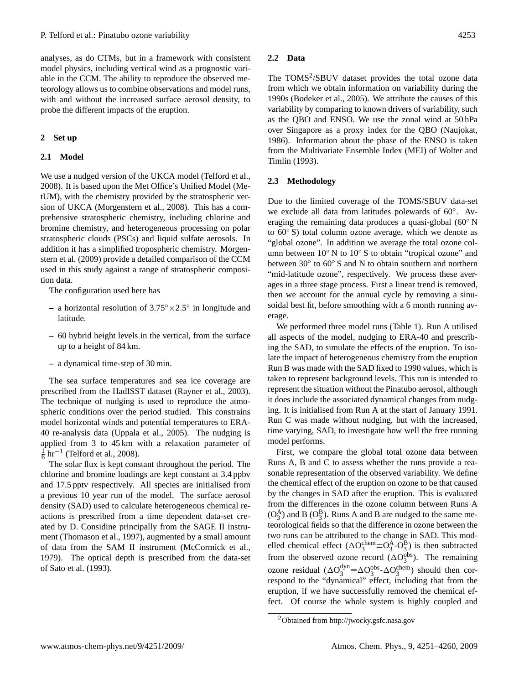analyses, as do CTMs, but in a framework with consistent model physics, including vertical wind as a prognostic variable in the CCM. The ability to reproduce the observed meteorology allows us to combine observations and model runs, with and without the increased surface aerosol density, to probe the different impacts of the eruption.

#### **2 Set up**

#### **2.1 Model**

We use a nudged version of the UKCA model [\(Telford et al.,](#page-8-22) [2008\)](#page-8-22). It is based upon the Met Office's Unified Model (MetUM), with the chemistry provided by the stratospheric version of UKCA [\(Morgenstern et al.,](#page-8-23) [2008\)](#page-8-23). This has a comprehensive stratospheric chemistry, including chlorine and bromine chemistry, and heterogeneous processing on polar stratospheric clouds (PSCs) and liquid sulfate aerosols. In addition it has a simplified tropospheric chemistry. [Morgen](#page-8-24)[stern et al.](#page-8-24) [\(2009\)](#page-8-24) provide a detailed comparison of the CCM used in this study against a range of stratospheric composition data.

The configuration used here has

- **–** a horizontal resolution of 3.75◦×2.5 in longitude and latitude.
- **–** 60 hybrid height levels in the vertical, from the surface up to a height of 84 km.
- **–** a dynamical time-step of 30 min.

The sea surface temperatures and sea ice coverage are prescribed from the HadISST dataset [\(Rayner et al.,](#page-8-25) [2003\)](#page-8-25). The technique of nudging is used to reproduce the atmospheric conditions over the period studied. This constrains model horizontal winds and potential temperatures to ERA-40 re-analysis data [\(Uppala et al.,](#page-9-6) [2005\)](#page-9-6). The nudging is applied from 3 to 45 km with a relaxation parameter of  $\frac{1}{6}$  hr<sup>-1</sup> [\(Telford et al.,](#page-8-22) [2008\)](#page-8-22).

The solar flux is kept constant throughout the period. The chlorine and bromine loadings are kept constant at 3.4 ppbv and 17.5 pptv respectively. All species are initialised from a previous 10 year run of the model. The surface aerosol density (SAD) used to calculate heterogeneous chemical reactions is prescribed from a time dependent data-set created by D. Considine principally from the SAGE II instrument [\(Thomason et al.,](#page-9-7) [1997\)](#page-9-7), augmented by a small amount of data from the SAM II instrument [\(McCormick et al.,](#page-8-26) [1979\)](#page-8-26). The optical depth is prescribed from the data-set of [Sato et al.](#page-8-27) [\(1993\)](#page-8-27).

#### **2.2 Data**

The TOMS<sup>[2](#page-2-0)</sup>/SBUV dataset provides the total ozone data from which we obtain information on variability during the 1990s [\(Bodeker et al.,](#page-7-14) [2005\)](#page-7-14). We attribute the causes of this variability by comparing to known drivers of variability, such as the QBO and ENSO. We use the zonal wind at 50 hPa over Singapore as a proxy index for the QBO [\(Naujokat,](#page-8-28) [1986\)](#page-8-28). Information about the phase of the ENSO is taken from the Multivariate Ensemble Index (MEI) of [Wolter and](#page-9-0) [Timlin](#page-9-0) [\(1993\)](#page-9-0).

#### <span id="page-2-1"></span>**2.3 Methodology**

Due to the limited coverage of the TOMS/SBUV data-set we exclude all data from latitudes polewards of 60°. Averaging the remaining data produces a quasi-global (60◦ N to 60◦ S) total column ozone average, which we denote as "global ozone". In addition we average the total ozone column between 10◦ N to 10◦ S to obtain "tropical ozone" and between 30° to 60° S and N to obtain southern and northern "mid-latitude ozone", respectively. We process these averages in a three stage process. First a linear trend is removed, then we account for the annual cycle by removing a sinusoidal best fit, before smoothing with a 6 month running average.

We performed three model runs (Table [1\)](#page-3-0). Run A utilised all aspects of the model, nudging to ERA-40 and prescribing the SAD, to simulate the effects of the eruption. To isolate the impact of heterogeneous chemistry from the eruption Run B was made with the SAD fixed to 1990 values, which is taken to represent background levels. This run is intended to represent the situation without the Pinatubo aerosol, although it does include the associated dynamical changes from nudging. It is initialised from Run A at the start of January 1991. Run C was made without nudging, but with the increased, time varying, SAD, to investigate how well the free running model performs.

First, we compare the global total ozone data between Runs A, B and C to assess whether the runs provide a reasonable representation of the observed variability. We define the chemical effect of the eruption on ozone to be that caused by the changes in SAD after the eruption. This is evaluated from the differences in the ozone column between Runs A  $(O_3^A)$  and B  $(O_3^B)$ . Runs A and B are nudged to the same meteorological fields so that the difference in ozone between the two runs can be attributed to the change in SAD. This modelled chemical effect  $(\Delta O_3^{\text{chem}} \equiv O_3^{\text{A}} \cdot O_3^{\text{B}})$  is then subtracted from the observed ozone record  $(\Delta O_3^{obs})$ . The remaining ozone residual  $(\Delta O_3^{\text{dyn}} \equiv \Delta O_3^{\text{obs}} \cdot \Delta O_3^{\text{chem}})$  should then correspond to the "dynamical" effect, including that from the eruption, if we have successfully removed the chemical effect. Of course the whole system is highly coupled and

<span id="page-2-0"></span><sup>&</sup>lt;sup>2</sup>Obtained from <http://jwocky.gsfc.nasa.gov>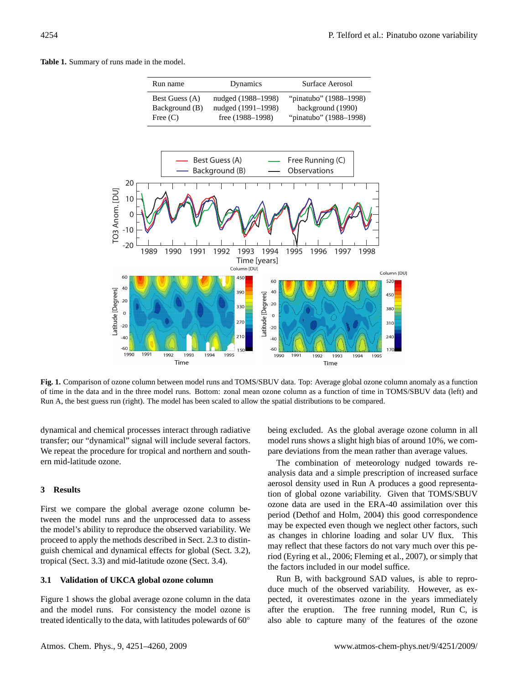<span id="page-3-0"></span>**Table 1.** Summary of runs made in the model.

| Run name       | Dynamics           | Surface Aerosol        |
|----------------|--------------------|------------------------|
| Best Guess (A) | nudged (1988–1998) | "pinatubo" (1988–1998) |
| Background (B) | nudged (1991–1998) | background (1990)      |
| Free $(C)$     | free (1988–1998)   | "pinatubo" (1988–1998) |



<span id="page-3-1"></span>Fig. 1. Comparison of ozone column between model runs and TOMS/SBUV data. Top: Average global ozone column anomaly as a function of time in the data and in the three model runs. Bottom: zonal mean ozone column as a function of time in TOMS/SBUV data (left) and Run A, the best guess run (right). The model has been scaled to allow the spatial distributions to be compared. Run A, the best guess run (right). The model has been scaled to allow the spatial distributions to be compared.

We repeat the procedure for tropical and northern and south-<br>ern mid-latitude ozone. dynamical and chemical processes interact through radiative<br>transferences "demanical" signal will include assumed factors transfer; our "dynamical" signal will include several factors. ern mid-latitude ozone.

#### **3 Results**

-3 guish chemical and dynamical effects for global (Sect. [3.2\)](#page-4-0),  $\mathbf{d}$ First we compare the global average ozone column bene<br>ns<br>ne to c<br>ect<br>theozo tween the model runs and the unprocessed data to assess the model's ability to reproduce the observed variability. We proceed to apply the methods described in Sect. [2.3](#page-2-1) to distintropical (Sect. [3.3\)](#page-5-0) and mid-latitude ozone (Sect. [3.4\)](#page-6-0).

### -6 **3.1 Validation of UKCA global ozone column**

treated identically to the data, with latitudes polewards of  $60^{\circ}$ Figure [1](#page-3-1) shows the global average ozone column in the data and the model runs. For consistency the model ozone is

pare deviations from the mean rather than average values. being excluded. As the global average ozone column in all model runs shows a slight high bias of around 10%, we com-

The combination of meteorology nudged towards reanalysis data and a simple prescription of increased surface aerosol density used in Run A produces a good representation of global ozone variability. Given that TOMS/SBUV ozone data are used in the ERA-40 assimilation over this period [\(Dethof and Holm,](#page-7-15) [2004\)](#page-7-15) this good correspondence may be expected even though we neglect other factors, such as changes in chlorine loading and solar UV flux. This may reflect that these factors do not vary much over this period [\(Eyring et al.,](#page-7-16) [2006;](#page-7-16) [Fleming et al.,](#page-7-11) [2007\)](#page-7-11), or simply that the factors included in our model suffice.

after the eruption. The free running model, Run C, is Run B, with background SAD values, is able to reproduce much of the observed variability. However, as expected, it overestimates ozone in the years immediately also able to capture many of the features of the ozone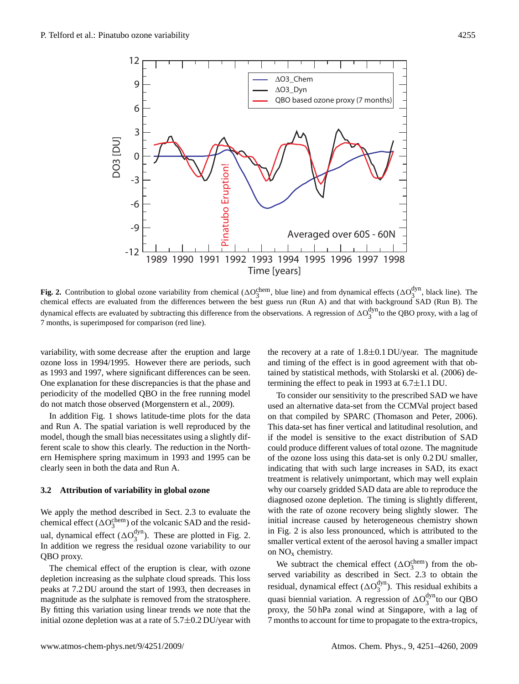

<span id="page-4-1"></span>**Fig. 2.** Contribution to global ozone variability from chemical ( $\Delta O_3^{\text{chem}}$ , blue line) and from dynamical effects ( $\Delta O_3^{\text{dyn}}$  $\frac{1}{3}$ , black line). The chemical effects are evaluated from the differences between the best guess run (Run A) and that with background SAD (Run B). The dynamical effects are evaluated by subtracting this difference from the observations. A regression of  $\Delta O_3^{\text{dyn}}$  $3<sup>4</sup>$  to the QBO proxy, with a lag of 7 months, is superimposed for comparison (red line).

variability, with some decrease after the eruption and large ozone loss in 1994/1995. However there are periods, such as 1993 and 1997, where significant differences can be seen. One explanation for these discrepancies is that the phase and periodicity of the modelled QBO in the free running model do not match those observed [\(Morgenstern et al.,](#page-8-24) [2009\)](#page-8-24).

In addition Fig. [1](#page-3-1) shows latitude-time plots for the data and Run A. The spatial variation is well reproduced by the model, though the small bias necessitates using a slightly different scale to show this clearly. The reduction in the Northern Hemisphere spring maximum in 1993 and 1995 can be clearly seen in both the data and Run A.

#### <span id="page-4-0"></span>**3.2 Attribution of variability in global ozone**

We apply the method described in Sect. [2.3](#page-2-1) to evaluate the chemical effect  $(\Delta O_3^{\text{chem}})$  of the volcanic SAD and the residual, dynamical effect  $(\Delta O_3^{\text{dyn}})$  $_{3}^{\text{dyn}}$ ). These are plotted in Fig. [2.](#page-4-1) In addition we regress the residual ozone variability to our QBO proxy.

The chemical effect of the eruption is clear, with ozone depletion increasing as the sulphate cloud spreads. This loss peaks at 7.2 DU around the start of 1993, then decreases in magnitude as the sulphate is removed from the stratosphere. By fitting this variation using linear trends we note that the initial ozone depletion was at a rate of  $5.7\pm0.2$  DU/year with the recovery at a rate of  $1.8 \pm 0.1$  DU/year. The magnitude and timing of the effect is in good agreement with that obtained by statistical methods, with [Stolarski et al.](#page-8-16) [\(2006\)](#page-8-16) determining the effect to peak in 1993 at  $6.7 \pm 1.1$  DU.

To consider our sensitivity to the prescribed SAD we have used an alternative data-set from the CCMVal project based on that compiled by SPARC [\(Thomason and Peter,](#page-8-29) [2006\)](#page-8-29). This data-set has finer vertical and latitudinal resolution, and if the model is sensitive to the exact distribution of SAD could produce different values of total ozone. The magnitude of the ozone loss using this data-set is only 0.2 DU smaller, indicating that with such large increases in SAD, its exact treatment is relatively unimportant, which may well explain why our coarsely gridded SAD data are able to reproduce the diagnosed ozone depletion. The timing is slightly different, with the rate of ozone recovery being slightly slower. The initial increase caused by heterogeneous chemistry shown in Fig. [2](#page-4-1) is also less pronounced, which is attributed to the smaller vertical extent of the aerosol having a smaller impact on  $NO<sub>x</sub>$  chemistry.

We subtract the chemical effect  $(\Delta O_3^{\text{chem}})$  from the observed variability as described in Sect. [2.3](#page-2-1) to obtain the residual, dynamical effect  $(\Delta O_3^{\text{dyn}})$  $_{3}^{\text{dyn}}$ ). This residual exhibits a quasi biennial variation. A regression of  $\Delta O_3^{\text{dyn}}$  $\frac{q}{3}$  to our QBO proxy, the 50 hPa zonal wind at Singapore, with a lag of 7 months to account for time to propagate to the extra-tropics,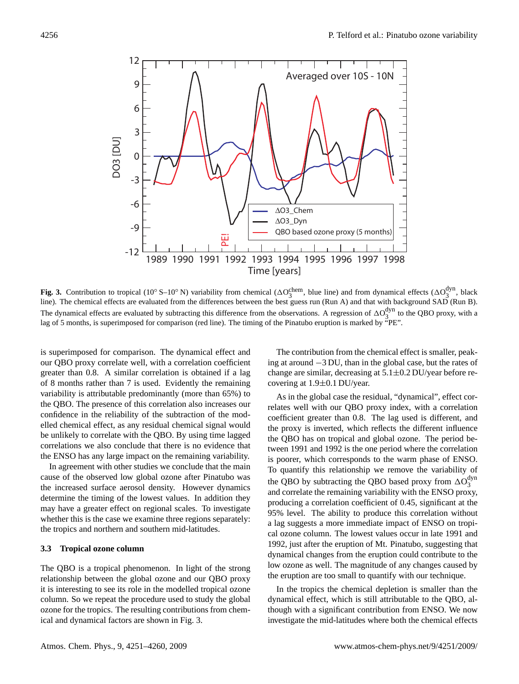



<span id="page-5-1"></span>**Fig. 3.** Contribution to tropical (10° S–10° N) variability from chemical ( $\Delta O_3^{\text{chem}}$ , blue line) and from dynamical effects ( $\Delta O_3^{\text{dyn}}$ )  $\frac{a_3 a_1}{3}$ , black line). The chemical effects are evaluated from the differences between the best guess run (Run A) and that with background SAD (Run B). The dynamical effects are evaluated by subtracting this difference from the observations. A regression of  $\Delta O_3^{\text{dyn}}$  $\frac{d^{3}y^{n}}{3}$  to the QBO proxy, with a lag of 5 months, is superimposed for comparison (red line). The timing of the Pinatubo eruption is marked by "PE".

is superimposed for comparison. The dynamical effect and our QBO proxy correlate well, with a correlation coefficient greater than 0.8. A similar correlation is obtained if a lag of 8 months rather than 7 is used. Evidently the remaining variability is attributable predominantly (more than 65%) to the QBO. The presence of this correlation also increases our confidence in the reliability of the subtraction of the modelled chemical effect, as any residual chemical signal would be unlikely to correlate with the QBO. By using time lagged correlations we also conclude that there is no evidence that the ENSO has any large impact on the remaining variability.

In agreement with other studies we conclude that the main cause of the observed low global ozone after Pinatubo was the increased surface aerosol density. However dynamics determine the timing of the lowest values. In addition they may have a greater effect on regional scales. To investigate whether this is the case we examine three regions separately: the tropics and northern and southern mid-latitudes.

#### <span id="page-5-0"></span>**3.3 Tropical ozone column**

The QBO is a tropical phenomenon. In light of the strong relationship between the global ozone and our QBO proxy it is interesting to see its role in the modelled tropical ozone column. So we repeat the procedure used to study the global ozone for the tropics. The resulting contributions from chemical and dynamical factors are shown in Fig. [3.](#page-5-1)

The contribution from the chemical effect is smaller, peaking at around −3 DU, than in the global case, but the rates of change are similar, decreasing at  $5.1 \pm 0.2$  DU/year before recovering at 1.9±0.1 DU/year.

As in the global case the residual, "dynamical", effect correlates well with our QBO proxy index, with a correlation coefficient greater than 0.8. The lag used is different, and the proxy is inverted, which reflects the different influence the QBO has on tropical and global ozone. The period between 1991 and 1992 is the one period where the correlation is poorer, which corresponds to the warm phase of ENSO. To quantify this relationship we remove the variability of the QBO by subtracting the QBO based proxy from  $\Delta O_3^{\text{dyn}}$ 3 and correlate the remaining variability with the ENSO proxy, producing a correlation coefficient of 0.45, significant at the 95% level. The ability to produce this correlation without a lag suggests a more immediate impact of ENSO on tropical ozone column. The lowest values occur in late 1991 and 1992, just after the eruption of Mt. Pinatubo, suggesting that dynamical changes from the eruption could contribute to the low ozone as well. The magnitude of any changes caused by the eruption are too small to quantify with our technique.

In the tropics the chemical depletion is smaller than the dynamical effect, which is still attributable to the QBO, although with a significant contribution from ENSO. We now investigate the mid-latitudes where both the chemical effects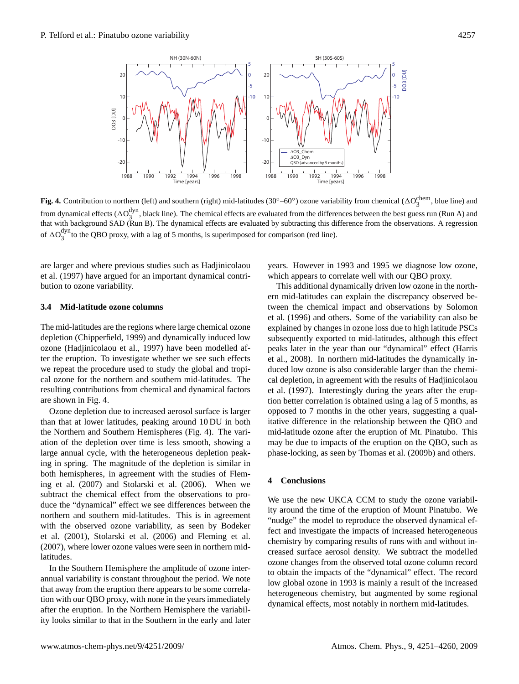

<span id="page-6-1"></span>**Fig. 4.** Contribution to northern (left) and southern (right) mid-latitudes  $(30^{\circ} - 60^{\circ})$  ozone variability from chemical  $(\Delta O_3^{\text{chem}})$ , blue line) and from dynamical effects ( $\Delta O_3^{\text{dyn}}$  $\frac{3}{3}$ , black line). The chemical effects are evaluated from the differences between the best guess run (Run A) and that with background SAD (Run B). The dynamical effects are evaluated by subtracting this difference from the observations. A regression of  $\Delta O_3^{\text{dyn}}$  $3<sup>3</sup>$  to the QBO proxy, with a lag of 5 months, is superimposed for comparison (red line).

are larger and where previous studies such as [Hadjinicolaou](#page-8-19) [et al.](#page-8-19) [\(1997\)](#page-8-19) have argued for an important dynamical contribution to ozone variability.

#### <span id="page-6-0"></span>**3.4 Mid-latitude ozone columns**

The mid-latitudes are the regions where large chemical ozone depletion [\(Chipperfield,](#page-7-9) [1999\)](#page-7-9) and dynamically induced low ozone [\(Hadjinicolaou et al.,](#page-8-19) [1997\)](#page-8-19) have been modelled after the eruption. To investigate whether we see such effects we repeat the procedure used to study the global and tropical ozone for the northern and southern mid-latitudes. The resulting contributions from chemical and dynamical factors are shown in Fig. [4.](#page-6-1)

Ozone depletion due to increased aerosol surface is larger than that at lower latitudes, peaking around 10 DU in both the Northern and Southern Hemispheres (Fig. [4\)](#page-6-1). The variation of the depletion over time is less smooth, showing a large annual cycle, with the heterogeneous depletion peaking in spring. The magnitude of the depletion is similar in both hemispheres, in agreement with the studies of [Flem](#page-7-11)[ing et al.](#page-7-11) [\(2007\)](#page-7-11) and [Stolarski et al.](#page-8-16) [\(2006\)](#page-8-16). When we subtract the chemical effect from the observations to produce the "dynamical" effect we see differences between the northern and southern mid-latitudes. This is in agreement with the observed ozone variability, as seen by [Bodeker](#page-7-17) [et al.](#page-7-17) [\(2001\)](#page-7-17), [Stolarski et al.](#page-8-16) [\(2006\)](#page-8-16) and [Fleming et al.](#page-7-11) [\(2007\)](#page-7-11), where lower ozone values were seen in northern midlatitudes.

In the Southern Hemisphere the amplitude of ozone interannual variability is constant throughout the period. We note that away from the eruption there appears to be some correlation with our QBO proxy, with none in the years immediately after the eruption. In the Northern Hemisphere the variability looks similar to that in the Southern in the early and later years. However in 1993 and 1995 we diagnose low ozone, which appears to correlate well with our QBO proxy.

This additional dynamically driven low ozone in the northern mid-latitudes can explain the discrepancy observed between the chemical impact and observations by [Solomon](#page-8-18) [et al.](#page-8-18) [\(1996\)](#page-8-18) and others. Some of the variability can also be explained by changes in ozone loss due to high latitude PSCs subsequently exported to mid-latitudes, although this effect peaks later in the year than our "dynamical" effect [\(Harris](#page-8-13) [et al.,](#page-8-13) [2008\)](#page-8-13). In northern mid-latitudes the dynamically induced low ozone is also considerable larger than the chemical depletion, in agreement with the results of [Hadjinicolaou](#page-8-19) [et al.](#page-8-19) [\(1997\)](#page-8-19). Interestingly during the years after the eruption better correlation is obtained using a lag of 5 months, as opposed to 7 months in the other years, suggesting a qualitative difference in the relationship between the QBO and mid-latitude ozone after the eruption of Mt. Pinatubo. This may be due to impacts of the eruption on the QBO, such as phase-locking, as seen by [Thomas et al.](#page-8-7) [\(2009b\)](#page-8-7) and others.

#### **4 Conclusions**

We use the new UKCA CCM to study the ozone variability around the time of the eruption of Mount Pinatubo. We "nudge" the model to reproduce the observed dynamical effect and investigate the impacts of increased heterogeneous chemistry by comparing results of runs with and without increased surface aerosol density. We subtract the modelled ozone changes from the observed total ozone column record to obtain the impacts of the "dynamical" effect. The record low global ozone in 1993 is mainly a result of the increased heterogeneous chemistry, but augmented by some regional dynamical effects, most notably in northern mid-latitudes.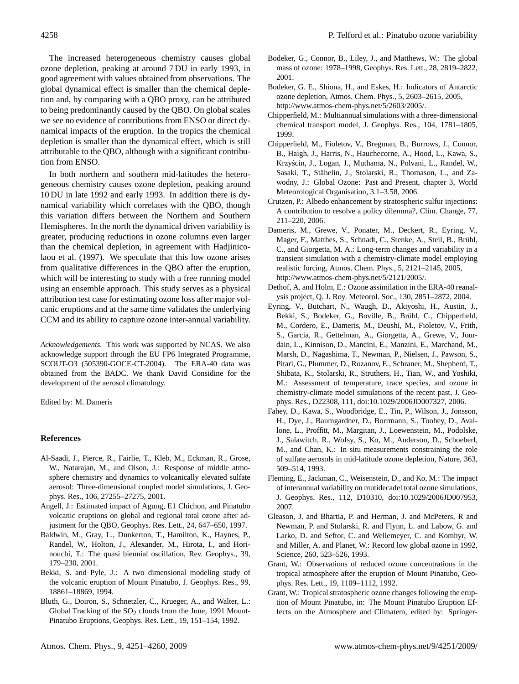The increased heterogeneous chemistry causes global ozone depletion, peaking at around 7 DU in early 1993, in good agreement with values obtained from observations. The global dynamical effect is smaller than the chemical depletion and, by comparing with a QBO proxy, can be attributed to being predominantly caused by the QBO. On global scales we see no evidence of contributions from ENSO or direct dynamical impacts of the eruption. In the tropics the chemical depletion is smaller than the dynamical effect, which is still attributable to the QBO, although with a significant contribution from ENSO.

In both northern and southern mid-latitudes the heterogeneous chemistry causes ozone depletion, peaking around 10 DU in late 1992 and early 1993. In addition there is dynamical variability which correlates with the QBO, though this variation differs between the Northern and Southern Hemispheres. In the north the dynamical driven variability is greater, producing reductions in ozone columns even larger than the chemical depletion, in agreement with [Hadjinico](#page-8-19)[laou et al.](#page-8-19) [\(1997\)](#page-8-19). We speculate that this low ozone arises from qualitative differences in the QBO after the eruption, which will be interesting to study with a free running model using an ensemble approach. This study serves as a physical attribution test case for estimating ozone loss after major volcanic eruptions and at the same time validates the underlying CCM and its ability to capture ozone inter-annual variability.

*Acknowledgements.* This work was supported by NCAS. We also acknowledge support through the EU FP6 Integrated Programme, SCOUT-O3 (505390-GOCE-CT-2004). The ERA-40 data was obtained from the BADC. We thank David Considine for the development of the aerosol climatology.

Edited by: M. Dameris

#### **References**

- <span id="page-7-8"></span>Al-Saadi, J., Pierce, R., Fairlie, T., Kleb, M., Eckman, R., Grose, W., Natarajan, M., and Olson, J.: Response of middle atmosphere chemistry and dynamics to volcanically elevated sulfate aerosol: Three-dimensional coupled model simulations, J. Geophys. Res., 106, 27255–27275, 2001.
- <span id="page-7-2"></span>Angell, J.: Estimated impact of Agung, E1 Chichon, and Pinatubo volcanic eruptions on global and regional total ozone after adjustment for the QBO, Geophys. Res. Lett., 24, 647–650, 1997.
- <span id="page-7-6"></span>Baldwin, M., Gray, L., Dunkerton, T., Hamilton, K., Haynes, P., Randel, W., Holton, J., Alexander, M., Hirota, I., and Horinouchi, T.: The quasi biennial oscillation, Rev. Geophys., 39, 179–230, 2001.
- <span id="page-7-7"></span>Bekki, S. and Pyle, J.: A two dimensional modeling study of the volcanic eruption of Mount Pinatubo, J. Geophys. Res., 99, 18861–18869, 1994.
- <span id="page-7-0"></span>Bluth, G., Doiron, S., Schnetzler, C., Krueger, A., and Walter, L.: Global Tracking of the  $SO<sub>2</sub>$  clouds from the June, 1991 Mount-Pinatubo Eruptions, Geophys. Res. Lett., 19, 151–154, 1992.
- <span id="page-7-17"></span>Bodeker, G., Connor, B., Liley, J., and Matthews, W.: The global mass of ozone: 1978–1998, Geophys. Res. Lett., 28, 2819–2822, 2001.
- <span id="page-7-14"></span>Bodeker, G. E., Shiona, H., and Eskes, H.: Indicators of Antarctic ozone depletion, Atmos. Chem. Phys., 5, 2603–2615, 2005, [http://www.atmos-chem-phys.net/5/2603/2005/.](http://www.atmos-chem-phys.net/5/2603/2005/)
- <span id="page-7-9"></span>Chipperfield, M.: Multiannual simulations with a three-dimensional chemical transport model, J. Geophys. Res., 104, 1781–1805, 1999.
- <span id="page-7-13"></span>Chipperfield, M., Fioletov, V., Bregman, B., Burrows, J., Connor, B., Haigh, J., Harris, N., Hauchecorne, A., Hood, L., Kawa, S., Krzyscin, J., Logan, J., Muthama, N., Polvani, L., Randel, W., ´ Sasaki, T., Stähelin, J., Stolarski, R., Thomason, L., and Zawodny, J.: Global Ozone: Past and Present, chapter 3, World Meteorological Organisation, 3.1–3.58, 2006.
- <span id="page-7-12"></span>Crutzen, P.: Albedo enhancement by stratospheric sulfur injections: A contribution to resolve a policy dilemma?, Clim. Change, 77, 211–220, 2006.
- <span id="page-7-10"></span>Dameris, M., Grewe, V., Ponater, M., Deckert, R., Eyring, V., Mager, F., Matthes, S., Schnadt, C., Stenke, A., Steil, B., Brühl, C., and Giorgetta, M. A.: Long-term changes and variability in a transient simulation with a chemistry-climate model employing realistic forcing, Atmos. Chem. Phys., 5, 2121–2145, 2005, [http://www.atmos-chem-phys.net/5/2121/2005/.](http://www.atmos-chem-phys.net/5/2121/2005/)
- <span id="page-7-15"></span>Dethof, A. and Holm, E.: Ozone assimilation in the ERA-40 reanalysis project, Q. J. Roy. Meteorol. Soc., 130, 2851–2872, 2004.
- <span id="page-7-16"></span>Eyring, V., Butchart, N., Waugh, D., Akiyoshi, H., Austin, J., Bekki, S., Bodeker, G., Boville, B., Brühl, C., Chipperfield, M., Cordero, E., Dameris, M., Deushi, M., Fioletov, V., Frith, S., Garcia, R., Gettelman, A., Giorgetta, A., Grewe, V., Jourdain, L., Kinnison, D., Mancini, E., Manzini, E., Marchand, M., Marsh, D., Nagashima, T., Newman, P., Nielsen, J., Pawson, S., Pitari, G., Plummer, D., Rozanov, E., Schraner, M., Shepherd, T., Shibata, K., Stolarski, R., Struthers, H., Tian, W., and Yoshiki, M.: Assessment of temperature, trace species, and ozone in chemistry-climate model simulations of the recent past, J. Geophys. Res., D22308, 111, doi:10.1029/2006JD007327, 2006.
- <span id="page-7-5"></span>Fahey, D., Kawa, S., Woodbridge, E., Tin, P., Wilson, J., Jonsson, H., Dye, J., Baumgardner, D., Borrmann, S., Toohey, D., Avallone, L., Proffitt, M., Margitan, J., Loewenstein, M., Podolske, J., Salawitch, R., Wofsy, S., Ko, M., Anderson, D., Schoeberl, M., and Chan, K.: In situ measurements constraining the role of sulfate aerosols in mid-latitude ozone depletion, Nature, 363, 509–514, 1993.
- <span id="page-7-11"></span>Fleming, E., Jackman, C., Weisenstein, D., and Ko, M.: The impact of interannual variability on mutidecadel total ozone simulations, J. Geophys. Res., 112, D10310, doi:10.1029/2006JD007953, 2007.
- <span id="page-7-1"></span>Gleason, J. and Bhartia, P. and Herman, J. and McPeters, R and Newman, P. and Stolarski, R. and Flynn, L. and Labow, G. and Larko, D. and Seftor, C. and Wellemeyer, C. and Komhyr, W. and Miller, A. and Planet, W.: Record low global ozone in 1992, Science, 260, 523–526, 1993.
- <span id="page-7-3"></span>Grant, W.: Observations of reduced ozone concentrations in the tropical atmosphere after the eruption of Mount Pinatubo, Geophys. Res. Lett., 19, 1109–1112, 1992.
- <span id="page-7-4"></span>Grant, W.: Tropical stratospheric ozone changes following the eruption of Mount Pinatubo, in: The Mount Pinatubo Eruption Effects on the Atmosphere and Climatem, edited by: Springer-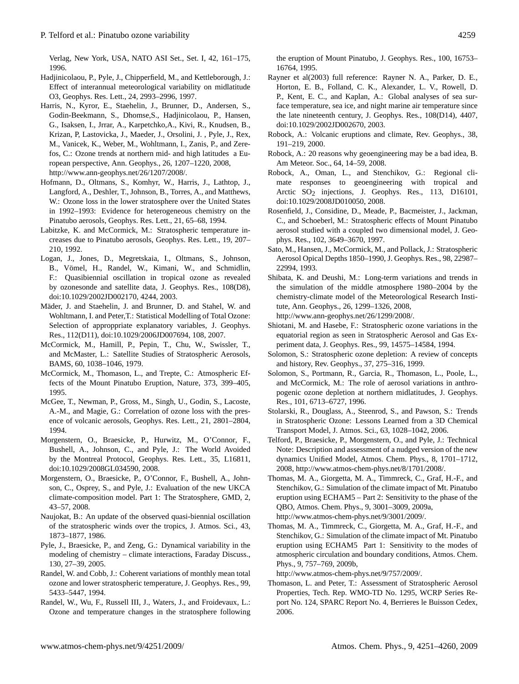Verlag, New York, USA, NATO ASI Set., Set. I, 42, 161–175, 1996.

- <span id="page-8-19"></span>Hadjinicolaou, P., Pyle, J., Chipperfield, M., and Kettleborough, J.: Effect of interannual meteorological variability on midlatitude O3, Geophys. Res. Lett., 24, 2993–2996, 1997.
- <span id="page-8-13"></span>Harris, N., Kyror, E., Staehelin, J., Brunner, D., Andersen, S., Godin-Beekmann, S., Dhomse,S., Hadjinicolaou, P., Hansen, G., Isaksen, I., Jrrar, A., Karpetchko,A., Kivi, R., Knudsen, B., Krizan, P, Lastovicka, J., Maeder, J., Orsolini, J. , Pyle, J., Rex, M., Vanicek, K., Weber, M., Wohltmann, I., Zanis, P., and Zerefos, C.: Ozone trends at northern mid- and high latitudes a European perspective, Ann. Geophys., 26, 1207–1220, 2008, [http://www.ann-geophys.net/26/1207/2008/.](http://www.ann-geophys.net/26/1207/2008/)
- <span id="page-8-1"></span>Hofmann, D., Oltmans, S., Komhyr, W., Harris, J., Lathtop, J., Langford, A., Deshler, T., Johnson, B., Torres, A., and Matthews, W.: Ozone loss in the lower stratosphere over the United States in 1992–1993: Evidence for heterogeneous chemistry on the Pinatubo aerosols, Geophys. Res. Lett., 21, 65–68, 1994.
- <span id="page-8-5"></span>Labitzke, K. and McCormick, M.: Stratospheric temperature increases due to Pinatubo aerosols, Geophys. Res. Lett., 19, 207– 210, 1992.
- <span id="page-8-9"></span>Logan, J., Jones, D., Megretskaia, I., Oltmans, S., Johnson, B., Vömel, H., Randel, W., Kimani, W., and Schmidlin, F.: Quasibiennial oscillation in tropical ozone as revealed by ozonesonde and satellite data, J. Geophys. Res., 108(D8), doi:10.1029/2002JD002170, 4244, 2003.
- <span id="page-8-17"></span>Mäder, J. and Staehelin, J. and Brunner, D. and Stahel, W. and Wohltmann, I. and Peter,T.: Statistical Modelling of Total Ozone: Selection of approppriate explanatory variables, J. Geophys. Res., 112(D11), doi:10.1029/2006JD007694, 108, 2007.
- <span id="page-8-26"></span>McCormick, M., Hamill, P., Pepin, T., Chu, W., Swissler, T., and McMaster, L.: Satellite Studies of Stratospheric Aerosols, BAMS, 60, 1038–1046, 1979.
- <span id="page-8-6"></span>McCormick, M., Thomason, L., and Trepte, C.: Atmospheric Effects of the Mount Pinatubo Eruption, Nature, 373, 399–405, 1995.
- <span id="page-8-2"></span>McGee, T., Newman, P., Gross, M., Singh, U., Godin, S., Lacoste, A.-M., and Magie, G.: Correlation of ozone loss with the presence of volcanic aerosols, Geophys. Res. Lett., 21, 2801–2804, 1994.
- <span id="page-8-23"></span>Morgenstern, O., Braesicke, P., Hurwitz, M., O'Connor, F., Bushell, A., Johnson, C., and Pyle, J.: The World Avoided by the Montreal Protocol, Geophys. Res. Lett., 35, L16811, doi:10.1029/2008GL034590, 2008.
- <span id="page-8-24"></span>Morgenstern, O., Braesicke, P., O'Connor, F., Bushell, A., Johnson, C., Osprey, S., and Pyle, J.: Evaluation of the new UKCA climate-composition model. Part 1: The Stratosphere, GMD, 2, 43–57, 2008.
- <span id="page-8-28"></span>Naujokat, B.: An update of the observed quasi-biennial oscillation of the stratospheric winds over the tropics, J. Atmos. Sci., 43, 1873–1877, 1986.
- <span id="page-8-10"></span>Pyle, J., Braesicke, P., and Zeng, G.: Dynamical variability in the modeling of chemistry – climate interactions, Faraday Discuss., 130, 27–39, 2005.
- <span id="page-8-11"></span>Randel, W. and Cobb, J.: Coherent variations of monthly mean total ozone and lower stratospheric temperature, J. Geophys. Res., 99, 5433–5447, 1994.
- <span id="page-8-3"></span>Randel, W., Wu, F., Russell III, J., Waters, J., and Froidevaux, L.: Ozone and temperature changes in the stratosphere following

the eruption of Mount Pinatubo, J. Geophys. Res., 100, 16753– 16764, 1995.

- <span id="page-8-25"></span>Rayner et al(2003) full reference: Rayner N. A., Parker, D. E., Horton, E. B., Folland, C. K., Alexander, L. V., Rowell, D. P., Kent, E. C., and Kaplan, A.: Global analyses of sea surface temperature, sea ice, and night marine air temperature since the late nineteenth century, J. Geophys. Res., 108(D14), 4407, doi:10.1029/2002JD002670, 2003.
- <span id="page-8-0"></span>Robock, A.: Volcanic eruptions and climate, Rev. Geophys., 38, 191–219, 2000.
- <span id="page-8-20"></span>Robock, A.: 20 reasons why geoengineering may be a bad idea, B. Am Meteor. Soc., 64, 14–59, 2008.
- <span id="page-8-21"></span>Robock, A., Oman, L., and Stenchikov, G.: Regional climate responses to geoengineering with tropical and Arctic SO<sub>2</sub> injections, J. Geophys. Res., 113, D16101, doi:10.1029/2008JD010050, 2008.
- <span id="page-8-14"></span>Rosenfield, J., Considine, D., Meade, P., Bacmeister, J., Jackman, C., and Schoeberl, M.: Stratospheric effects of Mount Pinatubo aerosol studied with a coupled two dimensional model, J. Geophys. Res., 102, 3649–3670, 1997.
- <span id="page-8-27"></span>Sato, M., Hansen, J., McCormick, M., and Pollack, J.: Stratospheric Aerosol Opical Depths 1850–1990, J. Geophys. Res., 98, 22987– 22994, 1993.
- <span id="page-8-12"></span>Shibata, K. and Deushi, M.: Long-term variations and trends in the simulation of the middle atmosphere 1980–2004 by the chemistry-climate model of the Meteorological Research Institute, Ann. Geophys., 26, 1299–1326, 2008,

[http://www.ann-geophys.net/26/1299/2008/.](http://www.ann-geophys.net/26/1299/2008/)

- <span id="page-8-8"></span>Shiotani, M. and Hasebe, F.: Stratospheric ozone variations in the equatorial region as seen in Stratospheric Aerosol and Gas Experiment data, J. Geophys. Res., 99, 14575–14584, 1994.
- <span id="page-8-4"></span>Solomon, S.: Stratospheric ozone depletion: A review of concepts and history, Rev. Geophys., 37, 275–316, 1999.
- <span id="page-8-18"></span>Solomon, S., Portmann, R., Garcia, R., Thomason, L., Poole, L., and McCormick, M.: The role of aerosol variations in anthropogenic ozone depletion at northern midlatitudes, J. Geophys. Res., 101, 6713–6727, 1996.
- <span id="page-8-16"></span>Stolarski, R., Douglass, A., Steenrod, S., and Pawson, S.: Trends in Stratospheric Ozone: Lessons Learned from a 3D Chemical Transport Model, J. Atmos. Sci., 63, 1028–1042, 2006.
- <span id="page-8-22"></span>Telford, P., Braesicke, P., Morgenstern, O., and Pyle, J.: Technical Note: Description and assessment of a nudged version of the new dynamics Unified Model, Atmos. Chem. Phys., 8, 1701–1712, 2008, [http://www.atmos-chem-phys.net/8/1701/2008/.](http://www.atmos-chem-phys.net/8/1701/2008/)
- <span id="page-8-15"></span>Thomas, M. A., Giorgetta, M. A., Timmreck, C., Graf, H.-F., and Stenchikov, G.: Simulation of the climate impact of Mt. Pinatubo eruption using ECHAM5 – Part 2: Sensitivity to the phase of the QBO, Atmos. Chem. Phys., 9, 3001–3009, 2009a, [http://www.atmos-chem-phys.net/9/3001/2009/.](http://www.atmos-chem-phys.net/9/3001/2009/)
- <span id="page-8-7"></span>Thomas, M. A., Timmreck, C., Giorgetta, M. A., Graf, H.-F., and Stenchikov, G.: Simulation of the climate impact of Mt. Pinatubo eruption using ECHAM5 Part 1: Sensitivity to the modes of atmospheric circulation and boundary conditions, Atmos. Chem. Phys., 9, 757–769, 2009b,

[http://www.atmos-chem-phys.net/9/757/2009/.](http://www.atmos-chem-phys.net/9/757/2009/)

<span id="page-8-29"></span>Thomason, L. and Peter, T.: Assessment of Stratospheric Aerosol Properties, Tech. Rep. WMO-TD No. 1295, WCRP Series Report No. 124, SPARC Report No. 4, Berrieres le Buisson Cedex, 2006.